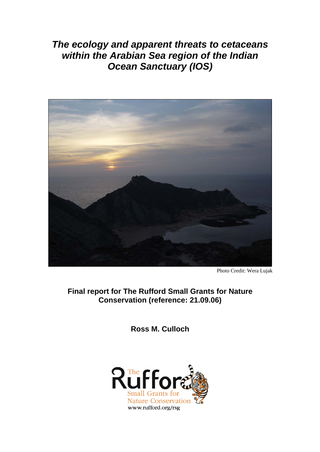*The ecology and apparent threats to cetaceans within the Arabian Sea region of the Indian Ocean Sanctuary (IOS)*



Photo Credit: Wera Lujak

**Final report for The Rufford Small Grants for Nature Conservation (reference: 21.09.06)** 

**Ross M. Culloch** 

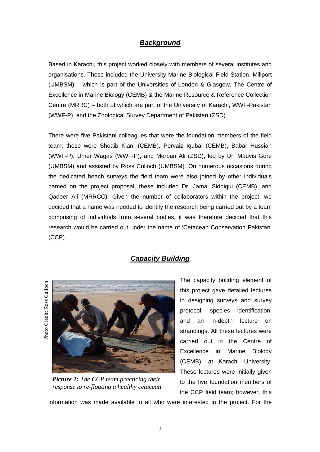## *Background*

Based in Karachi, this project worked closely with members of several institutes and organisations. These included the University Marine Biological Field Station, Millport (UMBSM) – which is part of the Universities of London & Glasgow, The Centre of Excellence in Marine Biology (CEMB) & the Marine Resource & Reference Collection Centre (MRRC) – both of which are part of the University of Karachi, WWF-Pakistan (WWF-P), and the Zoological Survey Department of Pakistan (ZSD).

There were five Pakistani colleagues that were the foundation members of the field team; these were Shoaib Kiani (CEMB), Pervaiz Iqubal (CEMB), Babar Hussian (WWF-P), Umer Wagas (WWF-P), and Merban Ali (ZSD), led by Dr. Mauvis Gore (UMBSM) and assisted by Ross Culloch (UMBSM). On numerous occasions during the dedicated beach surveys the field team were also joined by other individuals named on the project proposal, these included Dr. Jamal Siddiqui (CEMB), and Qadeer Ali (MRRCC). Given the number of collaborators within the project, we decided that a name was needed to identify the research being carried out by a team comprising of individuals from several bodies, it was therefore decided that this research would be carried out under the name of 'Cetacean Conservation Pakistan' (CCP).

## *Capacity Building*

Photo Credit: Ross C Photo Credit: Ross Culloch



*Picture 1: The CCP team practicing their response to re-floating a healthy cetacean* 

The capacity building element of this project gave detailed lectures in designing surveys and survey protocol, species identification, and an in-depth lecture on strandings. All these lectures were carried out in the Centre of Excellence in Marine Biology (CEMB), at Karachi University. These lectures were initially given to the five foundation members of the CCP field team; however, this

information was made available to all who were interested in the project. For the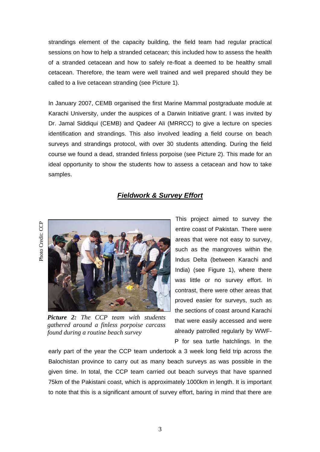strandings element of the capacity building, the field team had regular practical sessions on how to help a stranded cetacean; this included how to assess the health of a stranded cetacean and how to safely re-float a deemed to be healthy small cetacean. Therefore, the team were well trained and well prepared should they be called to a live cetacean stranding (see Picture 1).

In January 2007, CEMB organised the first Marine Mammal postgraduate module at Karachi University, under the auspices of a Darwin Initiative grant. I was invited by Dr. Jamal Siddiqui (CEMB) and Qadeer Ali (MRRCC) to give a lecture on species identification and strandings. This also involved leading a field course on beach surveys and strandings protocol, with over 30 students attending. During the field course we found a dead, stranded finless porpoise (see Picture 2). This made for an ideal opportunity to show the students how to assess a cetacean and how to take samples.

### *Fieldwork & Survey Effort*



*Picture 2: The CCP team with students gathered around a finless porpoise carcass found during a routine beach survey* 

This project aimed to survey the entire coast of Pakistan. There were areas that were not easy to survey, such as the mangroves within the Indus Delta (between Karachi and India) (see Figure 1), where there was little or no survey effort. In contrast, there were other areas that proved easier for surveys, such as the sections of coast around Karachi that were easily accessed and were already patrolled regularly by WWF-P for sea turtle hatchlings. In the

early part of the year the CCP team undertook a 3 week long field trip across the Balochistan province to carry out as many beach surveys as was possible in the given time. In total, the CCP team carried out beach surveys that have spanned 75km of the Pakistani coast, which is approximately 1000km in length. It is important to note that this is a significant amount of survey effort, baring in mind that there are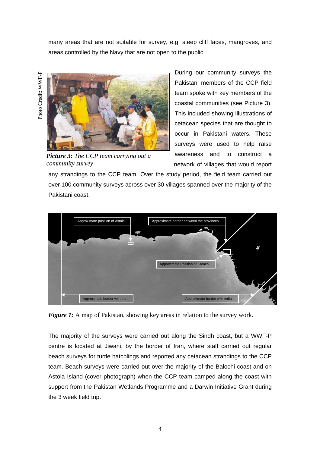many areas that are not suitable for survey, e.g. steep cliff faces, mangroves, and areas controlled by the Navy that are not open to the public.

Photo Credit: WWF-P Photo Credit: WWF-P



*Picture 3: The CCP team carrying out a community survey* 

During our community surveys the Pakistani members of the CCP field team spoke with key members of the coastal communities (see Picture 3). This included showing illustrations of cetacean species that are thought to occur in Pakistani waters. These surveys were used to help raise awareness and to construct a network of villages that would report

any strandings to the CCP team. Over the study period, the field team carried out over 100 community surveys across over 30 villages spanned over the majority of the Pakistani coast.



*Figure 1:* A map of Pakistan, showing key areas in relation to the survey work.

The majority of the surveys were carried out along the Sindh coast, but a WWF-P centre is located at Jiwani, by the border of Iran, where staff carried out regular beach surveys for turtle hatchlings and reported any cetacean strandings to the CCP team. Beach surveys were carried out over the majority of the Balochi coast and on Astola Island (cover photograph) when the CCP team camped along the coast with support from the Pakistan Wetlands Programme and a Darwin Initiative Grant during the 3 week field trip.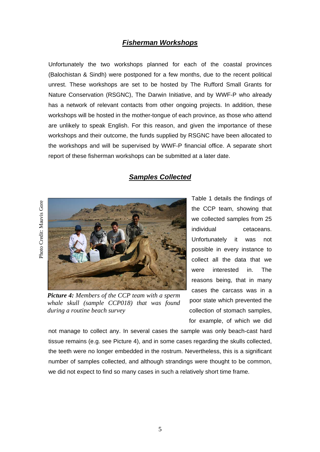## *Fisherman Workshops*

Unfortunately the two workshops planned for each of the coastal provinces (Balochistan & Sindh) were postponed for a few months, due to the recent political unrest. These workshops are set to be hosted by The Rufford Small Grants for Nature Conservation (RSGNC), The Darwin Initiative, and by WWF-P who already has a network of relevant contacts from other ongoing projects. In addition, these workshops will be hosted in the mother-tongue of each province, as those who attend are unlikely to speak English. For this reason, and given the importance of these workshops and their outcome, the funds supplied by RSGNC have been allocated to the workshops and will be supervised by WWF-P financial office. A separate short report of these fisherman workshops can be submitted at a later date.

## *Samples Collected*



*Picture 4: Members of the CCP team with a sperm whale skull (sample CCP018) that was found during a routine beach survey* 

Table 1 details the findings of the CCP team, showing that we collected samples from 25 individual cetaceans. Unfortunately it was not possible in every instance to collect all the data that we were interested in. The reasons being, that in many cases the carcass was in a poor state which prevented the collection of stomach samples, for example, of which we did

not manage to collect any. In several cases the sample was only beach-cast hard tissue remains (e.g. see Picture 4), and in some cases regarding the skulls collected, the teeth were no longer embedded in the rostrum. Nevertheless, this is a significant number of samples collected, and although strandings were thought to be common, we did not expect to find so many cases in such a relatively short time frame.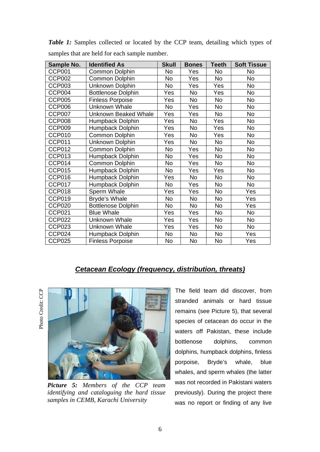| Sample No.    | <b>Identified As</b>        | <b>Skull</b> | <b>Bones</b> | <b>Teeth</b> | <b>Soft Tissue</b> |
|---------------|-----------------------------|--------------|--------------|--------------|--------------------|
| <b>CCP001</b> | Common Dolphin              | No           | Yes          | <b>No</b>    | No                 |
| CCP002        | Common Dolphin              | No           | Yes          | No           | No                 |
| <b>CCP003</b> | Unknown Dolphin             | No           | Yes          | Yes          | No                 |
| CCP004        | <b>Bottlenose Dolphin</b>   | Yes          | No           | Yes          | No                 |
| <b>CCP005</b> | <b>Finless Porpoise</b>     | Yes          | No           | No           | <b>No</b>          |
| <b>CCP006</b> | <b>Unknown Whale</b>        | No           | Yes          | <b>No</b>    | No                 |
| CCP007        | <b>Unknown Beaked Whale</b> | Yes          | Yes          | No           | No                 |
| CCP008        | Humpback Dolphin            | Yes          | No           | Yes          | No                 |
| CCP009        | Humpback Dolphin            | Yes          | No           | Yes          | No                 |
| CCP010        | Common Dolphin              | Yes          | No           | Yes          | No                 |
| <b>CCP011</b> | Unknown Dolphin             | Yes          | No           | No           | No                 |
| CCP012        | Common Dolphin              | No           | Yes          | No           | No                 |
| CCP013        | Humpback Dolphin            | No           | Yes          | No           | No                 |
| CCP014        | Common Dolphin              | No           | Yes          | <b>No</b>    | No                 |
| <b>CCP015</b> | Humpback Dolphin            | No           | Yes          | Yes          | No                 |
| CCP016        | Humpback Dolphin            | Yes          | No           | <b>No</b>    | No                 |
| CCP017        | Humpback Dolphin            | No           | Yes          | No           | No                 |
| CCP018        | Sperm Whale                 | Yes          | Yes          | <b>No</b>    | Yes                |
| CCP019        | Bryde's Whale               | No           | No           | <b>No</b>    | Yes                |
| <b>CCP020</b> | <b>Bottlenose Dolphin</b>   | <b>No</b>    | <b>No</b>    | <b>No</b>    | Yes                |
| <b>CCP021</b> | <b>Blue Whale</b>           | Yes          | Yes          | <b>No</b>    | No                 |
| <b>CCP022</b> | Unknown Whale               | Yes          | Yes          | No           | No                 |
| CCP023        | <b>Unknown Whale</b>        | Yes          | Yes          | No           | No                 |
| CCP024        | Humpback Dolphin            | No           | No           | No           | Yes                |
| <b>CCP025</b> | <b>Finless Porpoise</b>     | No           | No           | No           | Yes                |

**Table 1:** Samples collected or located by the CCP team, detailing which types of samples that are held for each sample number.

# *Cetacean Ecology (frequency, distribution, threats)*

Photo Credit: CCP Photo Credit: CCP



*Picture 5: Members of the CCP team identifying and cataloguing the hard tissue samples in CEMB, Karachi University* 

The field team did discover, from stranded animals or hard tissue remains (see Picture 5), that several species of cetacean do occur in the waters off Pakistan, these include bottlenose dolphins, common dolphins, humpback dolphins, finless porpoise, Bryde's whale, blue whales, and sperm whales (the latter was not recorded in Pakistani waters previously). During the project there was no report or finding of any live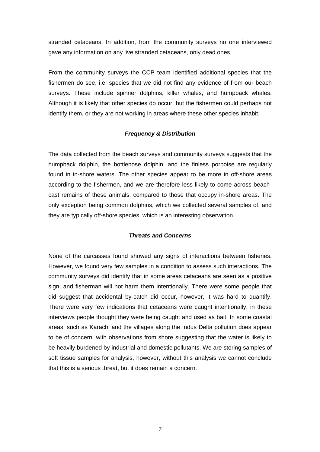stranded cetaceans. In addition, from the community surveys no one interviewed gave any information on any live stranded cetaceans, only dead ones.

From the community surveys the CCP team identified additional species that the fishermen do see, i.e. species that we did not find any evidence of from our beach surveys. These include spinner dolphins, killer whales, and humpback whales. Although it is likely that other species do occur, but the fishermen could perhaps not identify them, or they are not working in areas where these other species inhabit.

#### *Frequency & Distribution*

The data collected from the beach surveys and community surveys suggests that the humpback dolphin, the bottlenose dolphin, and the finless porpoise are regularly found in in-shore waters. The other species appear to be more in off-shore areas according to the fishermen, and we are therefore less likely to come across beachcast remains of these animals, compared to those that occupy in-shore areas. The only exception being common dolphins, which we collected several samples of, and they are typically off-shore species, which is an interesting observation.

#### *Threats and Concerns*

None of the carcasses found showed any signs of interactions between fisheries. However, we found very few samples in a condition to assess such interactions. The community surveys did identify that in some areas cetaceans are seen as a positive sign, and fisherman will not harm them intentionally. There were some people that did suggest that accidental by-catch did occur, however, it was hard to quantify. There were very few indications that cetaceans were caught intentionally, in these interviews people thought they were being caught and used as bait. In some coastal areas, such as Karachi and the villages along the Indus Delta pollution does appear to be of concern, with observations from shore suggesting that the water is likely to be heavily burdened by industrial and domestic pollutants. We are storing samples of soft tissue samples for analysis, however, without this analysis we cannot conclude that this is a serious threat, but it does remain a concern.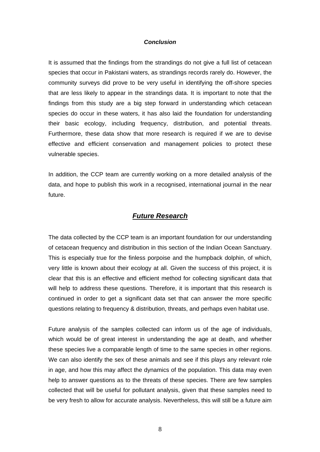#### *Conclusion*

It is assumed that the findings from the strandings do not give a full list of cetacean species that occur in Pakistani waters, as strandings records rarely do. However, the community surveys did prove to be very useful in identifying the off-shore species that are less likely to appear in the strandings data. It is important to note that the findings from this study are a big step forward in understanding which cetacean species do occur in these waters, it has also laid the foundation for understanding their basic ecology, including frequency, distribution, and potential threats. Furthermore, these data show that more research is required if we are to devise effective and efficient conservation and management policies to protect these vulnerable species.

In addition, the CCP team are currently working on a more detailed analysis of the data, and hope to publish this work in a recognised, international journal in the near future.

### *Future Research*

The data collected by the CCP team is an important foundation for our understanding of cetacean frequency and distribution in this section of the Indian Ocean Sanctuary. This is especially true for the finless porpoise and the humpback dolphin, of which, very little is known about their ecology at all. Given the success of this project, it is clear that this is an effective and efficient method for collecting significant data that will help to address these questions. Therefore, it is important that this research is continued in order to get a significant data set that can answer the more specific questions relating to frequency & distribution, threats, and perhaps even habitat use.

Future analysis of the samples collected can inform us of the age of individuals, which would be of great interest in understanding the age at death, and whether these species live a comparable length of time to the same species in other regions. We can also identify the sex of these animals and see if this plays any relevant role in age, and how this may affect the dynamics of the population. This data may even help to answer questions as to the threats of these species. There are few samples collected that will be useful for pollutant analysis, given that these samples need to be very fresh to allow for accurate analysis. Nevertheless, this will still be a future aim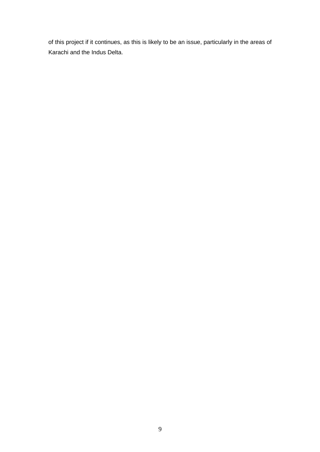of this project if it continues, as this is likely to be an issue, particularly in the areas of Karachi and the Indus Delta.